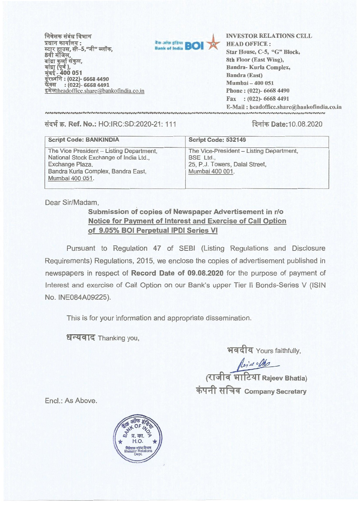**निवेशक संबंध विभाग प्रधान कार्यालय:** स्टार हाउस, सी-5, "जी" ब्लॉक, 8वी मंजिल,<br>बांद्रा कुर्ला संकुल, बांद्रा (पूर्व ),<br>मुंबई - 400 051 **(022)- 6668 4490 : (022)- 6668 4491**  इमेल:headoffice.share@bankofindia.co.in



**Bank of India <b>BOI A INVESTOR RELATIONS CELL**<br> **Bank of India <b>BOI A EXAD OFFICE**:<br>
Star House, C-5, "G" Block, **HEAD OFFICE : 8th Floor (East Wing), Bandra- Kurla Complex, Bandra (East) Mumbai — 400 051 Phone : (022)- 6668 4490 Fax : (022)- 6668 4491 E-Mail : headoffice.share@bankofindia.co.in** 

**TI-0T. Ref. No.:** HO:IRC:SD:2020-21: 111 **fk9iT Date:10.08.2020** 

| <b>Script Code: BANKINDIA</b>                                                                                                                                  | Script Code: 532149                                                                                      |
|----------------------------------------------------------------------------------------------------------------------------------------------------------------|----------------------------------------------------------------------------------------------------------|
| The Vice President - Listing Department,<br>National Stock Exchange of India Ltd.,<br>Exchange Plaza,<br>Bandra Kurla Complex, Bandra East,<br>Mumbai 400 051. | The Vice-President - Listing Department,<br>BSE Ltd<br>25, P.J. Towers, Dalal Street,<br>Mumbai 400 001. |

Dear Sir/Madam,

## **Submission of copies of Newspaper Advertisement in r/o Notice for Payment of Interest and Exercise of Call Option of 9.05% BOI Perpetual IPDI Series VI**

Pursuant to Regulation 47 of SEBI (Listing Regulations and Disclosure Requirements) Regulations, 2015, we enclose the copies of advertisement published in newspapers in respect of **Record Date of 09.08.2020** for the purpose of payment of Interest and exercise of Call Option on our Bank's upper Tier II Bonds-Series V (ISIN No. INE084A09225).

This is for your information and appropriate dissemination.

धन्यवाद Thanking you,

भवदीय Yours faithfully,

*<u>(राजीव भाटिया Rajeev Bhatia)</u>* **4)441 ki1\*. GI Company Secretary** 

End.: As Above.